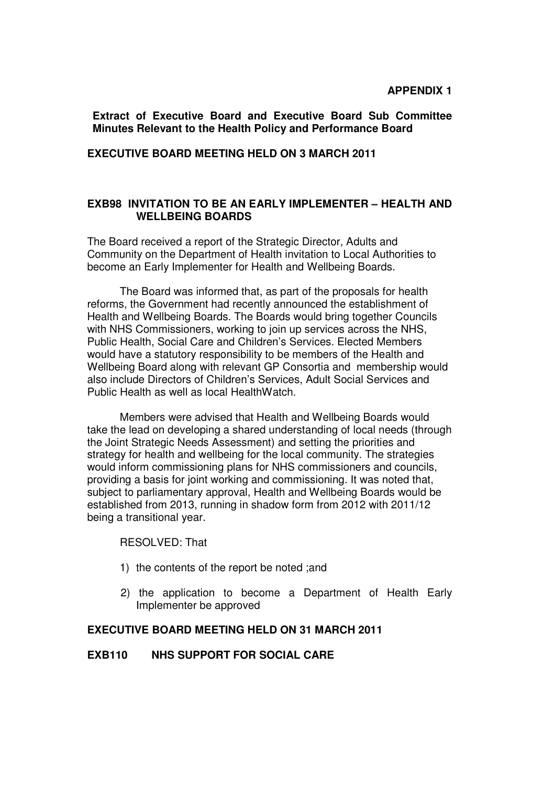#### **APPENDIX 1**

**Extract of Executive Board and Executive Board Sub Committee Minutes Relevant to the Health Policy and Performance Board**

#### **EXECUTIVE BOARD MEETING HELD ON 3 MARCH 2011**

#### **EXB98 INVITATION TO BE AN EARLY IMPLEMENTER – HEALTH AND WELLBEING BOARDS**

The Board received a report of the Strategic Director, Adults and Community on the Department of Health invitation to Local Authorities to become an Early Implementer for Health and Wellbeing Boards.

 The Board was informed that, as part of the proposals for health reforms, the Government had recently announced the establishment of Health and Wellbeing Boards. The Boards would bring together Councils with NHS Commissioners, working to join up services across the NHS, Public Health, Social Care and Children's Services. Elected Members would have a statutory responsibility to be members of the Health and Wellbeing Board along with relevant GP Consortia and membership would also include Directors of Children's Services, Adult Social Services and Public Health as well as local HealthWatch.

 Members were advised that Health and Wellbeing Boards would take the lead on developing a shared understanding of local needs (through the Joint Strategic Needs Assessment) and setting the priorities and strategy for health and wellbeing for the local community. The strategies would inform commissioning plans for NHS commissioners and councils, providing a basis for joint working and commissioning. It was noted that, subject to parliamentary approval, Health and Wellbeing Boards would be established from 2013, running in shadow form from 2012 with 2011/12 being a transitional year.

RESOLVED: That

- 1) the contents of the report be noted ;and
- 2) the application to become a Department of Health Early Implementer be approved

# **EXECUTIVE BOARD MEETING HELD ON 31 MARCH 2011**

#### **EXB110 NHS SUPPORT FOR SOCIAL CARE**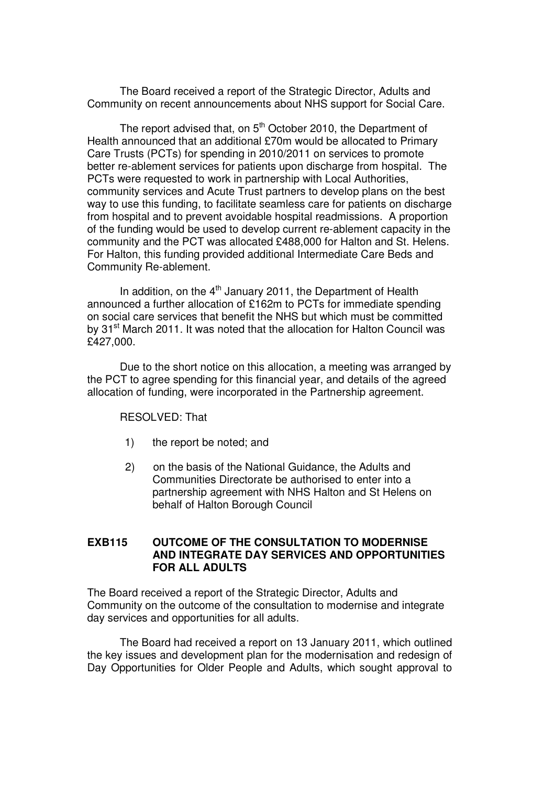The Board received a report of the Strategic Director, Adults and Community on recent announcements about NHS support for Social Care.

The report advised that, on  $5<sup>th</sup>$  October 2010, the Department of Health announced that an additional £70m would be allocated to Primary Care Trusts (PCTs) for spending in 2010/2011 on services to promote better re-ablement services for patients upon discharge from hospital. The PCTs were requested to work in partnership with Local Authorities, community services and Acute Trust partners to develop plans on the best way to use this funding, to facilitate seamless care for patients on discharge from hospital and to prevent avoidable hospital readmissions. A proportion of the funding would be used to develop current re-ablement capacity in the community and the PCT was allocated £488,000 for Halton and St. Helens. For Halton, this funding provided additional Intermediate Care Beds and Community Re-ablement.

In addition, on the  $4<sup>th</sup>$  January 2011, the Department of Health announced a further allocation of £162m to PCTs for immediate spending on social care services that benefit the NHS but which must be committed by 31<sup>st</sup> March 2011. It was noted that the allocation for Halton Council was £427,000.

Due to the short notice on this allocation, a meeting was arranged by the PCT to agree spending for this financial year, and details of the agreed allocation of funding, were incorporated in the Partnership agreement.

RESOLVED: That

- 1) the report be noted; and
- 2) on the basis of the National Guidance, the Adults and Communities Directorate be authorised to enter into a partnership agreement with NHS Halton and St Helens on behalf of Halton Borough Council

#### **EXB115 OUTCOME OF THE CONSULTATION TO MODERNISE AND INTEGRATE DAY SERVICES AND OPPORTUNITIES FOR ALL ADULTS**

The Board received a report of the Strategic Director, Adults and Community on the outcome of the consultation to modernise and integrate day services and opportunities for all adults.

 The Board had received a report on 13 January 2011, which outlined the key issues and development plan for the modernisation and redesign of Day Opportunities for Older People and Adults, which sought approval to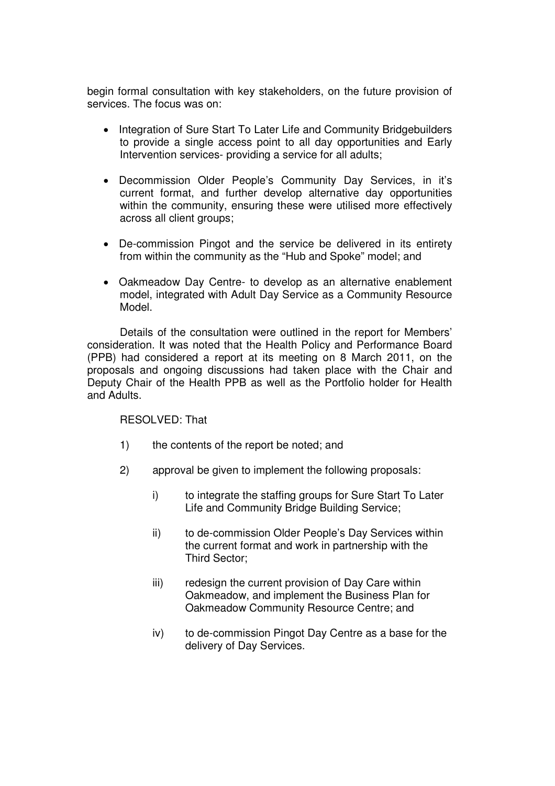begin formal consultation with key stakeholders, on the future provision of services. The focus was on:

- Integration of Sure Start To Later Life and Community Bridgebuilders to provide a single access point to all day opportunities and Early Intervention services- providing a service for all adults;
- Decommission Older People's Community Day Services, in it's current format, and further develop alternative day opportunities within the community, ensuring these were utilised more effectively across all client groups;
- De-commission Pingot and the service be delivered in its entirety from within the community as the "Hub and Spoke" model; and
- Oakmeadow Day Centre- to develop as an alternative enablement model, integrated with Adult Day Service as a Community Resource Model.

 Details of the consultation were outlined in the report for Members' consideration. It was noted that the Health Policy and Performance Board (PPB) had considered a report at its meeting on 8 March 2011, on the proposals and ongoing discussions had taken place with the Chair and Deputy Chair of the Health PPB as well as the Portfolio holder for Health and Adults.

RESOLVED: That

- 1) the contents of the report be noted; and
- 2) approval be given to implement the following proposals:
	- i) to integrate the staffing groups for Sure Start To Later Life and Community Bridge Building Service;
	- ii) to de-commission Older People's Day Services within the current format and work in partnership with the Third Sector;
	- iii) redesign the current provision of Day Care within Oakmeadow, and implement the Business Plan for Oakmeadow Community Resource Centre; and
	- iv) to de-commission Pingot Day Centre as a base for the delivery of Day Services.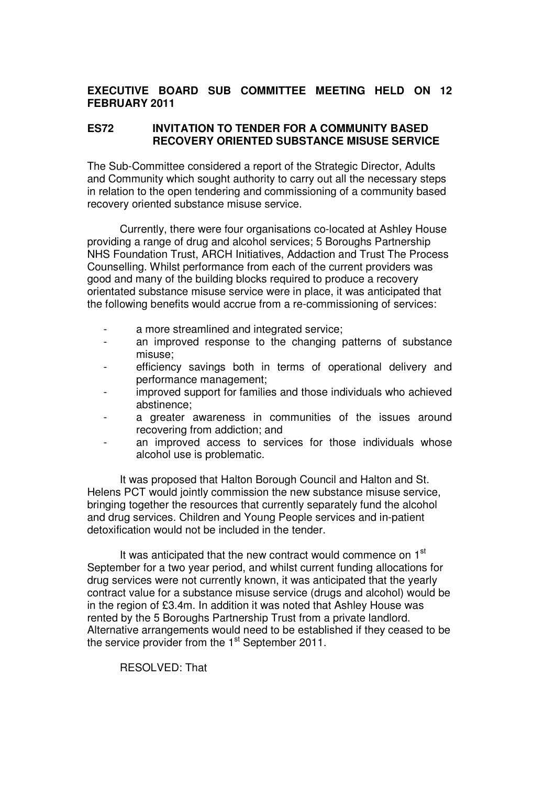# **EXECUTIVE BOARD SUB COMMITTEE MEETING HELD ON 12 FEBRUARY 2011**

## **ES72 INVITATION TO TENDER FOR A COMMUNITY BASED RECOVERY ORIENTED SUBSTANCE MISUSE SERVICE**

The Sub-Committee considered a report of the Strategic Director, Adults and Community which sought authority to carry out all the necessary steps in relation to the open tendering and commissioning of a community based recovery oriented substance misuse service.

 Currently, there were four organisations co-located at Ashley House providing a range of drug and alcohol services; 5 Boroughs Partnership NHS Foundation Trust, ARCH Initiatives, Addaction and Trust The Process Counselling. Whilst performance from each of the current providers was good and many of the building blocks required to produce a recovery orientated substance misuse service were in place, it was anticipated that the following benefits would accrue from a re-commissioning of services:

- a more streamlined and integrated service;
- an improved response to the changing patterns of substance misuse;
- efficiency savings both in terms of operational delivery and performance management;
- improved support for families and those individuals who achieved abstinence;
- a greater awareness in communities of the issues around recovering from addiction; and
- an improved access to services for those individuals whose alcohol use is problematic.

 It was proposed that Halton Borough Council and Halton and St. Helens PCT would jointly commission the new substance misuse service, bringing together the resources that currently separately fund the alcohol and drug services. Children and Young People services and in-patient detoxification would not be included in the tender.

It was anticipated that the new contract would commence on 1<sup>st</sup> September for a two year period, and whilst current funding allocations for drug services were not currently known, it was anticipated that the yearly contract value for a substance misuse service (drugs and alcohol) would be in the region of £3.4m. In addition it was noted that Ashley House was rented by the 5 Boroughs Partnership Trust from a private landlord. Alternative arrangements would need to be established if they ceased to be the service provider from the 1<sup>st</sup> September 2011.

RESOLVED: That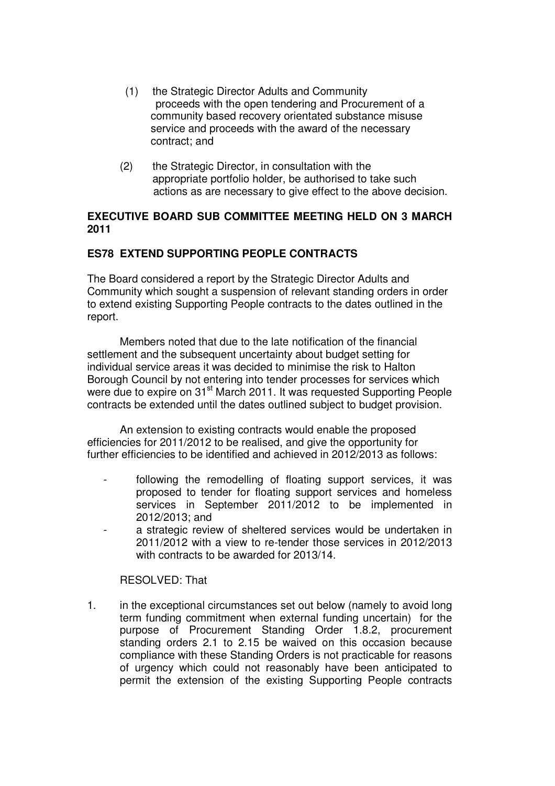- (1) the Strategic Director Adults and Community proceeds with the open tendering and Procurement of a community based recovery orientated substance misuse service and proceeds with the award of the necessary contract; and
- (2) the Strategic Director, in consultation with the appropriate portfolio holder, be authorised to take such actions as are necessary to give effect to the above decision.

## **EXECUTIVE BOARD SUB COMMITTEE MEETING HELD ON 3 MARCH 2011**

# **ES78 EXTEND SUPPORTING PEOPLE CONTRACTS**

The Board considered a report by the Strategic Director Adults and Community which sought a suspension of relevant standing orders in order to extend existing Supporting People contracts to the dates outlined in the report.

 Members noted that due to the late notification of the financial settlement and the subsequent uncertainty about budget setting for individual service areas it was decided to minimise the risk to Halton Borough Council by not entering into tender processes for services which were due to expire on 31<sup>st</sup> March 2011. It was requested Supporting People contracts be extended until the dates outlined subject to budget provision.

 An extension to existing contracts would enable the proposed efficiencies for 2011/2012 to be realised, and give the opportunity for further efficiencies to be identified and achieved in 2012/2013 as follows:

- following the remodelling of floating support services, it was proposed to tender for floating support services and homeless services in September 2011/2012 to be implemented in 2012/2013; and
- a strategic review of sheltered services would be undertaken in 2011/2012 with a view to re-tender those services in 2012/2013 with contracts to be awarded for 2013/14.

RESOLVED: That

1. in the exceptional circumstances set out below (namely to avoid long term funding commitment when external funding uncertain) for the purpose of Procurement Standing Order 1.8.2, procurement standing orders 2.1 to 2.15 be waived on this occasion because compliance with these Standing Orders is not practicable for reasons of urgency which could not reasonably have been anticipated to permit the extension of the existing Supporting People contracts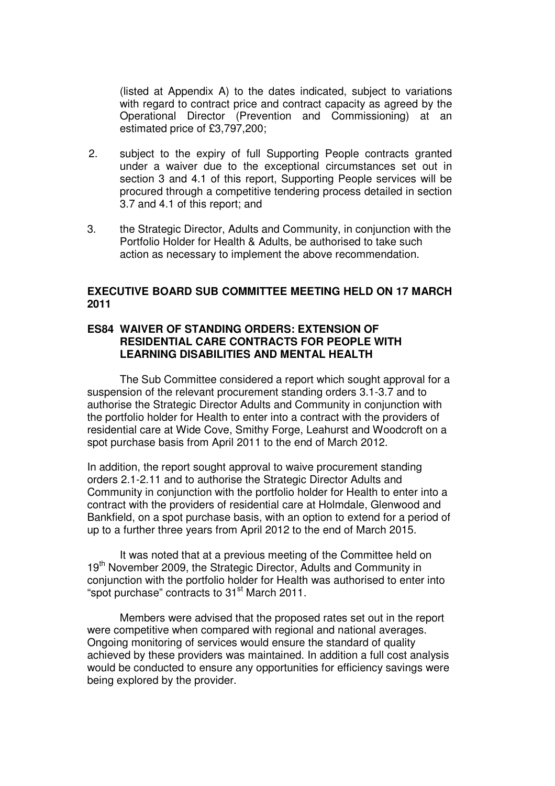(listed at Appendix A) to the dates indicated, subject to variations with regard to contract price and contract capacity as agreed by the Operational Director (Prevention and Commissioning) at an estimated price of £3,797,200;

- 2. subject to the expiry of full Supporting People contracts granted under a waiver due to the exceptional circumstances set out in section 3 and 4.1 of this report, Supporting People services will be procured through a competitive tendering process detailed in section 3.7 and 4.1 of this report; and
- 3. the Strategic Director, Adults and Community, in conjunction with the Portfolio Holder for Health & Adults, be authorised to take such action as necessary to implement the above recommendation.

## **EXECUTIVE BOARD SUB COMMITTEE MEETING HELD ON 17 MARCH 2011**

#### **ES84 WAIVER OF STANDING ORDERS: EXTENSION OF RESIDENTIAL CARE CONTRACTS FOR PEOPLE WITH LEARNING DISABILITIES AND MENTAL HEALTH**

The Sub Committee considered a report which sought approval for a suspension of the relevant procurement standing orders 3.1-3.7 and to authorise the Strategic Director Adults and Community in conjunction with the portfolio holder for Health to enter into a contract with the providers of residential care at Wide Cove, Smithy Forge, Leahurst and Woodcroft on a spot purchase basis from April 2011 to the end of March 2012.

In addition, the report sought approval to waive procurement standing orders 2.1-2.11 and to authorise the Strategic Director Adults and Community in conjunction with the portfolio holder for Health to enter into a contract with the providers of residential care at Holmdale, Glenwood and Bankfield, on a spot purchase basis, with an option to extend for a period of up to a further three years from April 2012 to the end of March 2015.

 It was noted that at a previous meeting of the Committee held on 19<sup>th</sup> November 2009, the Strategic Director, Adults and Community in conjunction with the portfolio holder for Health was authorised to enter into "spot purchase" contracts to 31<sup>st</sup> March 2011.

 Members were advised that the proposed rates set out in the report were competitive when compared with regional and national averages. Ongoing monitoring of services would ensure the standard of quality achieved by these providers was maintained. In addition a full cost analysis would be conducted to ensure any opportunities for efficiency savings were being explored by the provider.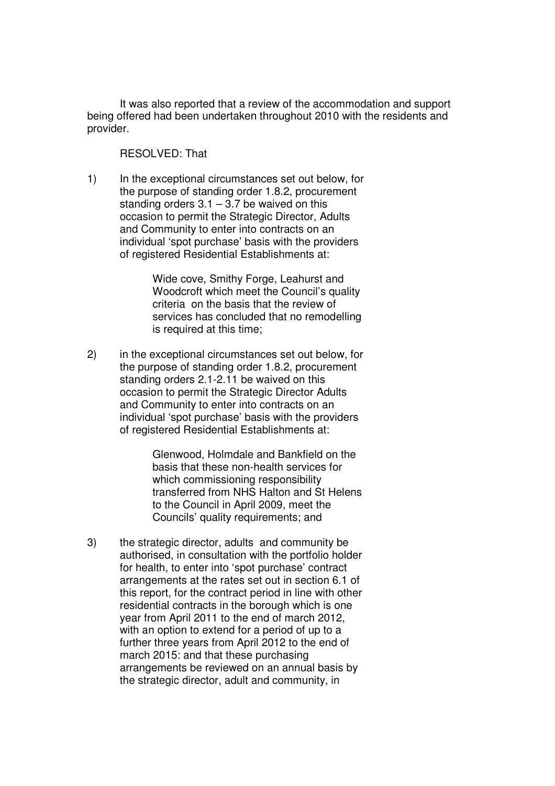It was also reported that a review of the accommodation and support being offered had been undertaken throughout 2010 with the residents and provider.

## RESOLVED: That

1) In the exceptional circumstances set out below, for the purpose of standing order 1.8.2, procurement standing orders  $3.1 - 3.7$  be waived on this occasion to permit the Strategic Director, Adults and Community to enter into contracts on an individual 'spot purchase' basis with the providers of registered Residential Establishments at:

> Wide cove, Smithy Forge, Leahurst and Woodcroft which meet the Council's quality criteria on the basis that the review of services has concluded that no remodelling is required at this time;

2) in the exceptional circumstances set out below, for the purpose of standing order 1.8.2, procurement standing orders 2.1-2.11 be waived on this occasion to permit the Strategic Director Adults and Community to enter into contracts on an individual 'spot purchase' basis with the providers of registered Residential Establishments at:

> Glenwood, Holmdale and Bankfield on the basis that these non-health services for which commissioning responsibility transferred from NHS Halton and St Helens to the Council in April 2009, meet the Councils' quality requirements; and

3) the strategic director, adults and community be authorised, in consultation with the portfolio holder for health, to enter into 'spot purchase' contract arrangements at the rates set out in section 6.1 of this report, for the contract period in line with other residential contracts in the borough which is one year from April 2011 to the end of march 2012, with an option to extend for a period of up to a further three years from April 2012 to the end of march 2015: and that these purchasing arrangements be reviewed on an annual basis by the strategic director, adult and community, in